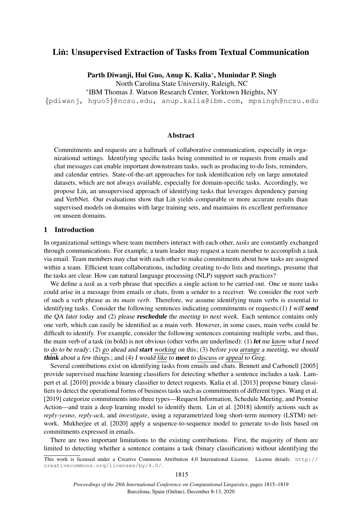# Lin: Unsupervised Extraction of Tasks from Textual Communication

Parth Diwanji, Hui Guo, Anup K. Kalia<sup>∗</sup> , Munindar P. Singh

North Carolina State University, Raleigh, NC

∗ IBM Thomas J. Watson Research Center, Yorktown Heights, NY

{pdiwanj, hguo5}@ncsu.edu, anup.kalia@ibm.com, mpsingh@ncsu.edu

### Abstract

Commitments and requests are a hallmark of collaborative communication, especially in organizational settings. Identifying specific tasks being committed to or requests from emails and chat messages can enable important downstream tasks, such as producing to-do lists, reminders, and calendar entries. State-of-the-art approaches for task identification rely on large annotated datasets, which are not always available, especially for domain-specific tasks. Accordingly, we propose Lin, an unsupervised approach of identifying tasks that leverages dependency parsing and VerbNet. Our evaluations show that Lin yields comparable or more accurate results than supervised models on domains with large training sets, and maintains its excellent performance on unseen domains.

# 1 Introduction

In organizational settings where team members interact with each other, *tasks* are constantly exchanged through communications. For example, a team leader may request a team member to accomplish a task via email. Team members may chat with each other to make commitments about how tasks are assigned within a team. Efficient team collaborations, including creating to-do lists and meetings, presume that the tasks are clear. How can natural language processing (NLP) support such practices?

We define a *task* as a verb phrase that specifies a single action to be carried out. One or more tasks could arise in a message from emails or chats, from a sender to a receiver. We consider the root verb of such a verb phrase as its *main verb*. Therefore, we assume identifying main verbs is essential to identifying tasks. Consider the following sentences indicating commitments or requests: $(1)$  I will **send** the QA later today and (2) please **reschedule** the meeting to next week. Each sentence contains only one verb, which can easily be identified as a main verb. However, in some cases, main verbs could be difficult to identify. For example, consider the following sentences containing multiple verbs, and thus, the main verb of a task (in bold) is not obvious (other verbs are underlined): (1) let me know what I need to do to be ready; (2) go ahead and start working on this; (3) before you arrange a meeting, we should think about a few things.; and (4) I would like to meet to discuss or appeal to Greg.

Several contributions exist on identifying tasks from emails and chats. [Bennett and Carbonell](#page-4-0) [\[2005\]](#page-4-0) provide supervised machine learning classifiers for detecting whether a sentence includes a task. [Lam](#page-4-1)[pert et al.](#page-4-1) [\[2010\]](#page-4-1) provide a binary classifier to detect requests. [Kalia et al.](#page-4-2) [\[2013\]](#page-4-2) propose binary classifiers to detect the operational forms of business tasks such as commitments of different types. [Wang et al.](#page-4-3) [\[2019\]](#page-4-3) categorize commitments into three types—Request Information, Schedule Meeting, and Promise Action—and train a deep learning model to identify them. [Lin et al.](#page-4-4) [\[2018\]](#page-4-4) identify actions such as *reply-yesno*, *reply-ack*, and *investigate*, using a reparametrized long short-term memory (LSTM) network. [Mukherjee et al.](#page-4-5) [\[2020\]](#page-4-5) apply a sequence-to-sequence model to generate to-do lists based on commitments expressed in emails.

There are two important limitations to the existing contributions. First, the majority of them are limited to detecting whether a sentence contains a task (binary classification) without identifying the

This work is licensed under a Creative Commons Attribution 4.0 International License. License details: [http://](http://creativecommons.org/licenses/by/4.0/) [creativecommons.org/licenses/by/4.0/](http://creativecommons.org/licenses/by/4.0/).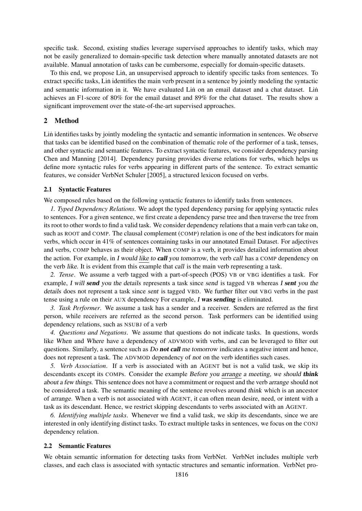specific task. Second, existing studies leverage supervised approaches to identify tasks, which may not be easily generalized to domain-specific task detection where manually annotated datasets are not available. Manual annotation of tasks can be cumbersome, especially for domain-specific datasets.

To this end, we propose Lin, an unsupervised approach to identify specific tasks from sentences. To extract specific tasks, Lin identifies the main verb present in a sentence by jointly modeling the syntactic and semantic information in it. We have evaluated Lin on an email dataset and a chat dataset. Lin achieves an F1-score of 80% for the email dataset and 89% for the chat dataset. The results show a significant improvement over the state-of-the-art supervised approaches.

# 2 Method

Lin identifies tasks by jointly modeling the syntactic and semantic information in sentences. We observe that tasks can be identified based on the combination of thematic role of the performer of a task, tenses, and other syntactic and semantic features. To extract syntactic features, we consider dependency parsing [Chen and Manning](#page-4-6) [\[2014\]](#page-4-6). Dependency parsing provides diverse relations for verbs, which helps us define more syntactic rules for verbs appearing in different parts of the sentence. To extract semantic features, we consider VerbNet [Schuler](#page-4-7) [\[2005\]](#page-4-7), a structured lexicon focused on verbs.

### 2.1 Syntactic Features

We composed rules based on the following syntactic features to identify tasks from sentences.

*1. Typed Dependency Relations*. We adopt the typed dependency parsing for applying syntactic rules to sentences. For a given sentence, we first create a dependency parse tree and then traverse the tree from its root to other words to find a valid task. We consider dependency relations that a main verb can take on, such as ROOT and COMP. The clausal complement (COMP) relation is one of the best indicators for main verbs, which occur in 41% of sentences containing tasks in our annotated Email Dataset. For adjectives and verbs, COMP behaves as their object. When COMP is a verb, it provides detailed information about the action. For example, in I would like to call you tomorrow, the verb call has a COMP dependency on the verb like. It is evident from this example that call is the main verb representing a task.

*2. Tense*. We assume a verb tagged with a part-of-speech (POS) VB or VBG identifies a task. For example, I will send you the details represents a task since send is tagged VB whereas I sent you the details does not represent a task since sent is tagged VBD. We further filter out VBG verbs in the past tense using a rule on their AUX dependency For example, I was sending is eliminated.

*3. Task Performer*. We assume a task has a sender and a receiver. Senders are referred as the first person, while receivers are referred as the second person. Task performers can be identified using dependency relations, such as NSUBJ of a verb

*4. Questions and Negations*. We assume that questions do not indicate tasks. In questions, words like When and Where have a dependency of ADVMOD with verbs, and can be leveraged to filter out questions. Similarly, a sentence such as *Do not call me tomorrow* indicates a negative intent and hence, does not represent a task. The ADVMOD dependency of not on the verb identifies such cases.

*5. Verb Association*. If a verb is associated with an AGENT but is not a valid task, we skip its descendants except its COMPs. Consider the example Before you arrange a meeting, we should think about a few things. This sentence does not have a commitment or request and the verb arrange should not be considered a task. The semantic meaning of the sentence revolves around think which is an ancestor of arrange. When a verb is not associated with AGENT, it can often mean desire, need, or intent with a task as its descendant. Hence, we restrict skipping descendants to verbs associated with an AGENT.

*6. Identifying multiple tasks*. Whenever we find a valid task, we skip its descendants, since we are interested in only identifying distinct tasks. To extract multiple tasks in sentences, we focus on the CONJ dependency relation.

#### 2.2 Semantic Features

We obtain semantic information for detecting tasks from VerbNet. VerbNet includes multiple verb classes, and each class is associated with syntactic structures and semantic information. VerbNet pro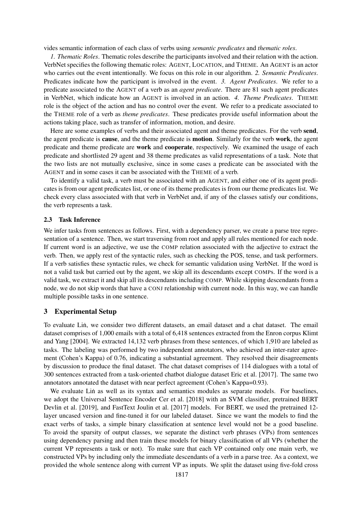vides semantic information of each class of verbs using *semantic predicates* and *thematic roles*.

*1. Thematic Roles*. Thematic roles describe the participants involved and their relation with the action. VerbNet specifies the following thematic roles: AGENT, LOCATION, and THEME. An AGENT is an actor who carries out the event intentionally. We focus on this role in our algorithm. *2. Semantic Predicates*. Predicates indicate how the participant is involved in the event. *3. Agent Predicates*. We refer to a predicate associated to the AGENT of a verb as an *agent predicate*. There are 81 such agent predicates in VerbNet, which indicate how an AGENT is involved in an action. *4. Theme Predicates*. THEME role is the object of the action and has no control over the event. We refer to a predicate associated to the THEME role of a verb as *theme predicates*. These predicates provide useful information about the actions taking place, such as transfer of information, motion, and desire.

Here are some examples of verbs and their associated agent and theme predicates. For the verb send, the agent predicate is cause, and the theme predicate is motion. Similarly for the verb work, the agent predicate and theme predicate are work and cooperate, respectively. We examined the usage of each predicate and shortlisted 29 agent and 38 theme predicates as valid representations of a task. Note that the two lists are not mutually exclusive, since in some cases a predicate can be associated with the AGENT and in some cases it can be associated with the THEME of a verb.

To identify a valid task, a verb must be associated with an AGENT, and either one of its agent predicates is from our agent predicates list, or one of its theme predicates is from our theme predicates list. We check every class associated with that verb in VerbNet and, if any of the classes satisfy our conditions, the verb represents a task.

#### 2.3 Task Inference

We infer tasks from sentences as follows. First, with a dependency parser, we create a parse tree representation of a sentence. Then, we start traversing from root and apply all rules mentioned for each node. If current word is an adjective, we use the COMP relation associated with the adjective to extract the verb. Then, we apply rest of the syntactic rules, such as checking the POS, tense, and task performers. If a verb satisfies these syntactic rules, we check for semantic validation using VerbNet. If the word is not a valid task but carried out by the agent, we skip all its descendants except COMPs. If the word is a valid task, we extract it and skip all its descendants including COMP. While skipping descendants from a node, we do not skip words that have a CONJ relationship with current node. In this way, we can handle multiple possible tasks in one sentence.

### 3 Experimental Setup

To evaluate Lin, we consider two different datasets, an email dataset and a chat dataset. The email ˙ dataset comprises of 1,000 emails with a total of 6,418 sentences extracted from the Enron corpus [Klimt](#page-4-8) [and Yang](#page-4-8) [\[2004\]](#page-4-8). We extracted 14,132 verb phrases from these sentences, of which 1,910 are labeled as tasks. The labeling was performed by two independent annotators, who achieved an inter-rater agreement (Cohen's Kappa) of 0.76, indicating a substantial agreement. They resolved their disagreements by discussion to produce the final dataset. The chat dataset comprises of 114 dialogues with a total of 300 sentences extracted from a task-oriented chatbot dialogue dataset [Eric et al.](#page-4-9) [\[2017\]](#page-4-9). The same two annotators annotated the dataset with near perfect agreement (Cohen's Kappa=0.93).

We evaluate Lin as well as its syntax and semantics modules as separate models. For baselines, we adopt the Universal Sentence Encoder [Cer et al.](#page-4-10) [\[2018\]](#page-4-10) with an SVM classifier, pretrained BERT [Devlin et al.](#page-4-11) [\[2019\]](#page-4-11), and FastText [Joulin et al.](#page-4-12) [\[2017\]](#page-4-12) models. For BERT, we used the pretrained 12 layer uncased version and fine-tuned it for our labeled dataset. Since we want the models to find the exact verbs of tasks, a simple binary classification at sentence level would not be a good baseline. To avoid the sparsity of output classes, we separate the distinct verb phrases (VPs) from sentences using dependency parsing and then train these models for binary classification of all VPs (whether the current VP represents a task or not). To make sure that each VP contained only one main verb, we constructed VPs by including only the immediate descendants of a verb in a parse tree. As a context, we provided the whole sentence along with current VP as inputs. We split the dataset using five-fold cross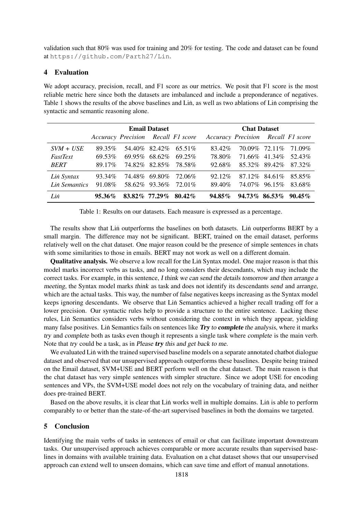validation such that 80% was used for training and 20% for testing. The code and dataset can be found at <https://github.com/Parth27/Lin>.

### 4 Evaluation

We adopt accuracy, precision, recall, and F1 score as our metrics. We posit that F1 score is the most reliable metric here since both the datasets are imbalanced and include a preponderance of negatives. Table [1](#page-3-0) shows the results of the above baselines and Lin, as well as two ablations of Lin comprising the syntactic and semantic reasoning alone.

|                 | <b>Email Dataset</b> |                                    |                     |           | <b>Chat Dataset</b>                |                  |                 |           |
|-----------------|----------------------|------------------------------------|---------------------|-----------|------------------------------------|------------------|-----------------|-----------|
|                 |                      | Accuracy Precision Recall F1 score |                     |           | Accuracy Precision Recall F1 score |                  |                 |           |
| $SVM + USE$     | 89.35%               |                                    | 54.40\% 82.42\%     | 65.51\%   | 83.42\%                            |                  | 70.09% 72.11%   | 71.09%    |
| <i>FastText</i> | 69.53%               |                                    | $69.95\%$ $68.62\%$ | 69.25%    | 78.80%                             |                  | 71.66% 41.34%   | 52.43%    |
| <b>BERT</b>     | 89.17\%              |                                    | 74.82\% 82.85\%     | 78.58%    | 92.68%                             |                  | 85.32\% 89.42\% | 87.32%    |
| Lin Syntax      | 93.34%               |                                    | 74.48% 69.80%       | 72.06%    | $92.12\%$                          |                  | 87.12\% 84.61\% | 85.85%    |
| Lin Semantics   | 91.08%               |                                    | 58.62\% 93.36\%     | 72.01%    | 89.40\%                            |                  | 74.07% 96.15%   | 83.68%    |
| Lin             | $95.36\%$            | 83.82% 77.29%                      |                     | $80.42\%$ | $94.85\%$                          | $94.73\%$ 86.53% |                 | $90.45\%$ |

<span id="page-3-0"></span>Table 1: Results on our datasets. Each measure is expressed as a percentage.

The results show that Lin outperforms the baselines on both datasets. Lin outperforms BERT by a small margin. The difference may not be significant. BERT, trained on the email dataset, performs relatively well on the chat dataset. One major reason could be the presence of simple sentences in chats with some similarities to those in emails. BERT may not work as well on a different domain.

Qualitative analysis. We observe a low recall for the Lin Syntax model. One major reason is that this ˙ model marks incorrect verbs as tasks, and no long considers their descendants, which may include the correct tasks. For example, in this sentence, I think we can send the details tomorrow and then arrange a meeting, the Syntax model marks think as task and does not identify its descendants send and arrange, which are the actual tasks. This way, the number of false negatives keeps increasing as the Syntax model keeps ignoring descendants. We observe that Lin Semantics achieved a higher recall trading off for a lower precision. Our syntactic rules help to provide a structure to the entire sentence. Lacking these rules, Lin Semantics considers verbs without considering the context in which they appear, yielding many false positives. Lin Semantics fails on sentences like Try to complete the analysis, where it marks try and complete both as tasks even though it represents a single task where complete is the main verb. Note that try could be a task, as in Please try this and get back to me.

We evaluated Lin with the trained supervised baseline models on a separate annotated chatbot dialogue dataset and observed that our unsupervised approach outperforms these baselines. Despite being trained on the Email dataset, SVM+USE and BERT perform well on the chat dataset. The main reason is that the chat dataset has very simple sentences with simpler structure. Since we adopt USE for encoding sentences and VPs, the SVM+USE model does not rely on the vocabulary of training data, and neither does pre-trained BERT.

Based on the above results, it is clear that Lin works well in multiple domains. Lin is able to perform comparably to or better than the state-of-the-art supervised baselines in both the domains we targeted.

# 5 Conclusion

Identifying the main verbs of tasks in sentences of email or chat can facilitate important downstream tasks. Our unsupervised approach achieves comparable or more accurate results than supervised baselines in domains with available training data. Evaluation on a chat dataset shows that our unsupervised approach can extend well to unseen domains, which can save time and effort of manual annotations.